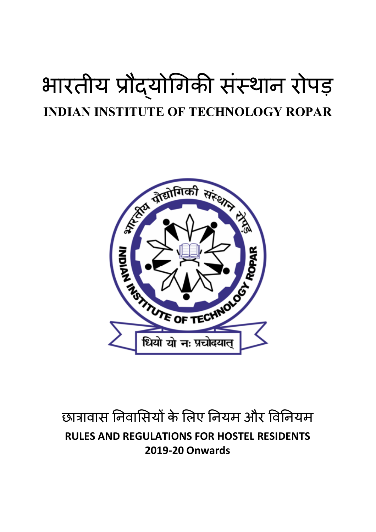# भारतीय प्रौदयोगिकी संस्थान रोपड़ **INDIAN INSTITUTE OF TECHNOLOGY ROPAR**



## छात्रावास निवासियों के लिए नियम और विनियम **RULES AND REGULATIONS FOR HOSTEL RESIDENTS 2019-20 Onwards**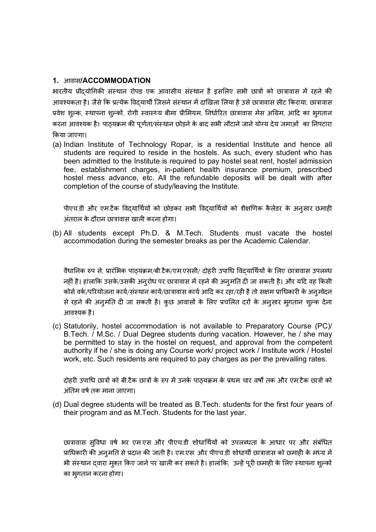#### **1.** आवास**/ACCOMMODATION**

भारतीय प्रौदयोगिकी संस्थान रोपड़ एक आवासीय संस्थान है इसलिए सभी छात्रों को छात्रावास में रहने की आवश्यकता है। जैसे कि प्रत्येक विदयार्थी जिसने संस्थान में दाखिला लिया है उसे छात्रावास सीट किराया, छात्रावास प्रवेश शुल्क, स्थापना शुल्कों, रोगी स्वास्थ्य बीमा प्रीमियम, निर्धारित छात्रावास मेस अग्रिम, आदि का भुगतान करना आवश्यक है। पाठ्यक्रम की पूर्णता/संस्थान छोड़ने के बाद सभी लौटाने जाने योग्य देय जमाओं का निपटारा ͩकया जाएगा।

(a) Indian Institute of Technology Ropar, is a residential Institute and hence all students are required to reside in the hostels. As such, every student who has been admitted to the Institute is required to pay hostel seat rent, hostel admission fee, establishment charges, in-patient health insurance premium, prescribed hostel mess advance, etc. All the refundable deposits will be dealt with after completion of the course of study/leaving the Institute.

पीएच.डी और एम.टैक विदयार्थियों को छोड़कर सभी विदयार्थियों को शैक्षणिक कैलेंडर के अनुसार छमाही अंतराल के दौरान छात्रावास खाली करना होगा।

(b) All students except Ph.D. & M.Tech. Students must vacate the hostel accommodation during the semester breaks as per the Academic Calendar.

वैधानिक रुप से, प्रारंभिक पाठयक्रम/बी.टैक/एम.एससी/ दोहरी उपाधि विदयार्थियों के लिए छात्रावास उपलब्ध नहीं है। हांलाकि उसके/उसकी अनुरोध पर छात्रावास में रहने की अनुमति दी जा सकती है। और यदि वह किसी कोर्स वर्क/परियोजना कार्य/संस्थान कार्य/छात्रावास कार्य आदि कर रहा/रही है तो सक्षम प्राधिकारी के अनुमोदन से रहने की अनुमति दी जा सकती है। कुछ आवासों के लिए प्रचलित दरों के अनुसार भुगतान शुल्क देना आवæयक है।

(c) Statutorily, hostel accommodation is not available to Preparatory Course (PC)/ B.Tech. / M.Sc. / Dual Degree students during vacation. However, he / she may be permitted to stay in the hostel on request, and approval from the competent authority if he / she is doing any Course work/ project work / Institute work / Hostel work, etc. Such residents are required to pay charges as per the prevailing rates.

दोहरी उपाधि छात्रों को बी.टैक छात्रों के रुप में उनके पाठ्यक्रम के प्रथम चार वर्षों तक और एम.टैक छात्रों को अंतिम वर्ष तक माना जाएगा।

(d) Dual degree students will be treated as B.Tech. students for the first four years of their program and as M.Tech. Students for the last year.

छात्रावास सुविधा वर्ष भर एम.एस और पीएच.डी शोधार्थियों को उपलब्धता के आधार पर और संबंधित प्राधिकारी की अनुमति से प्रदान की जाती है। एम.एस. और पीएच.डी शोधार्थी छात्रावास को छमाही के मध्य में भी संस्थान दवारा मुक्त किए जाने पर खाली कर सकते है। हालांकि, उन्हें पूरी छमाही के लिए स्थापना शुल्कों का भुगतान करना होगा।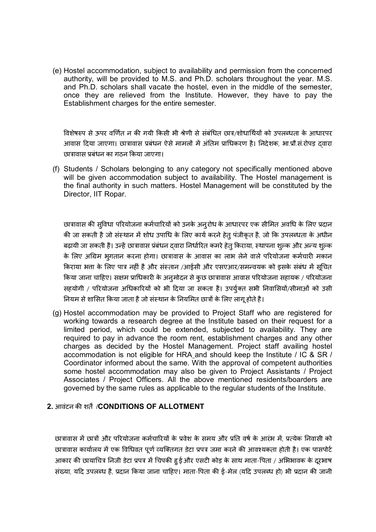(e) Hostel accommodation, subject to availability and permission from the concerned authority, will be provided to M.S. and Ph.D. scholars throughout the year. M.S. and Ph.D. scholars shall vacate the hostel, even in the middle of the semester, once they are relieved from the Institute. However, they have to pay the Establishment charges for the entire semester.

विशेषरुप से ऊपर वर्णित न की गयी किसी भी श्रेणी से संबंधित छात्र/शोधार्थियों को उपलब्धता के आधारपर आवास दिया जाएगा। छात्रावास प्रबंधन ऐसे मामलों में अंतिम प्राधिकरण है। निदेशक, भा.प्रौ.सं.रोपड़ दवारा छात्रावास प्रबंधन का गठन किया जाएगा।

(f) Students / Scholars belonging to any category not specifically mentioned above will be given accommodation subject to availability. The Hostel management is the final authority in such matters. Hostel Management will be constituted by the Director, IIT Ropar.

छात्रावास की सुविधा परियोजना कर्मचारियों को उनके अनुरोध के आधारपर एक सीमित अवधि के लिए प्रदान की जा सकती है जो संस्थान में शोध उपाधि के लिए कार्य करने हेतु पंजीकृत है, जो कि उपलब्धता के अधीन बढ़ायी जा सकती है। उन्हें छात्रावास प्रंबंधन दवारा निर्धारित कमरे हेत् किराया, स्थापना शुल्क और अन्य शुल्क के लिए अग्रिम भुगतान करना होगा। छात्रावास के आवास का लाभ लेने वाले परियोजना कर्मचारी मकान किराया भता के लिए पात्र नहीं है और संस्तान /आईसी और एसएआर/समन्वयक को इसके संबंध में सूचित किया जाना चाहिए। सक्षम प्राधिकारी के अनुमोदन से कुछ छात्रावास आवास परियोजना सहायक / परियोजना सहयोगी / परियोजना अधिकारियों को भी दिया जा सकता है। उपर्युक्त सभी निवासियों/सीमाओं को उसी नियम से शासित किया जाता है जो संस्थान के नियमित छात्रों के लिए लागू होते है।

(g) Hostel accommodation may be provided to Project Staff who are registered for working towards a research degree at the Institute based on their request for a limited period, which could be extended, subjected to availability. They are required to pay in advance the room rent, establishment charges and any other charges as decided by the Hostel Management. Project staff availing hostel accommodation is not eligible for HRA and should keep the Institute / IC & SR / Coordinator informed about the same. With the approval of competent authorities some hostel accommodation may also be given to Project Assistants / Project Associates / Project Officers. All the above mentioned residents/boarders are governed by the same rules as applicable to the regular students of the Institute.

#### **2.** आवंटन कȧ शतɏ/**CONDITIONS OF ALLOTMENT**

छात्रावास में छात्रों और परियोजना कर्मचारियों के प्रवेश के समय और प्रति वर्ष के आरंभ में, प्रत्येक निवासी को छात्रावास कार्यालय में एक विधिवत पूर्ण व्यक्तिगत डेटा प्रपत्र जमा करने की आवश्यकता होती है। एक पासपोर्ट आकार की छायाचित्र निजी डेटा प्रपत्र में चिपकी हु ईऔर एसटी कोड़ के साथ माता-पिता / अभिभावक के दूरभाष संख्या, यदि उपलब्ध है, प्रदान किया जाना चाहिए। माता-पिता की ई-मेल (यदि उपलब्ध हो) भी प्रदान की जानी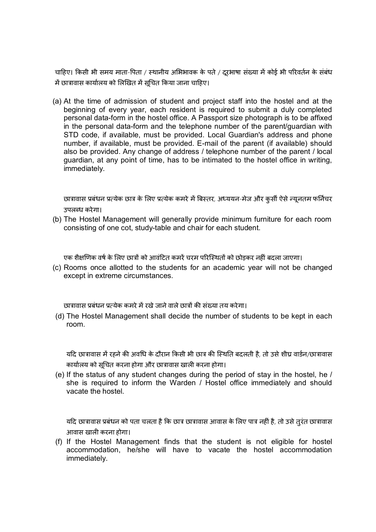चाहिए। किसी भी समय माता-पिता / स्थानीय अभिभावक के पते / दूरभाषा संख्या में कोई भी परिवर्तन के संबंध मɅछाğावास काया[लय को ͧलͨखत मɅसूͬचत ͩकया जाना चाǑहए।

(a) At the time of admission of student and project staff into the hostel and at the beginning of every year, each resident is required to submit a duly completed personal data-form in the hostel office. A Passport size photograph is to be affixed in the personal data-form and the telephone number of the parent/guardian with STD code, if available, must be provided. Local Guardian's address and phone number, if available, must be provided. E-mail of the parent (if available) should also be provided. Any change of address / telephone number of the parent / local guardian, at any point of time, has to be intimated to the hostel office in writing, immediately.

छात्रावास प्रबंधन प्रत्येक छात्र के लिए प्रत्येक कमरे में बिस्तर, अध्ययन-मेज और कुर्सी ऐसे न्यूनतम फर्निचर उपलब्ध करेगा।

(b) The Hostel Management will generally provide minimum furniture for each room consisting of one cot, study-table and chair for each student.

एक शैक्षणिक वर्ष के लिए छात्रों को आवंटित कमरें चरम परिस्थितों को छोड़कर नहीं बदला जाएगा।

(c) Rooms once allotted to the students for an academic year will not be changed except in extreme circumstances.

छात्रावास प्रबंधन प्रत्येक कमरे में रखे जाने वाले छात्रों की संख्या तय करेगा।

(d) The Hostel Management shall decide the number of students to be kept in each room.

यदि छात्रावास में रहने की अवधि के दौरान किसी भी छात्र की स्थिति बदलती है, तो उसे शीघ्र वार्डन/छात्रावास कार्यालय को सूचित करना होगा और छात्रावास खाली करना होगा।

(e) If the status of any student changes during the period of stay in the hostel, he / she is required to inform the Warden / Hostel office immediately and should vacate the hostel.

यदि छात्रावास प्रबंधन को पता चलता है कि छात्र छात्रावास आवास के लिए पात्र नहीं है, तो उसे तुरंत छात्रावास आवास खाली करना होगा।

(f) If the Hostel Management finds that the student is not eligible for hostel accommodation, he/she will have to vacate the hostel accommodation immediately.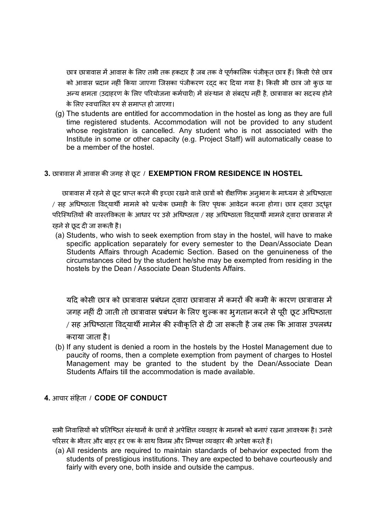छात्र छात्रावास में आवास के लिए तभी तक हकदार है जब तक वे पूर्णकालिक पंजीकृत छात्र हैं। किसी ऐसे छात्र को आवास प्रदान नहीं किया जाएगा जिसका पंजीकरण रदद कर दिया गया है। किसी भी छात्र जो कुछ या अन्य क्षमता (उदाहरण के लिए परियोजना कर्मचारी) में संस्थान से संबद्ध नहीं है, छात्रावास का सदस्य होने के लिए स्वचालित रुप से समाप्त हो जाएगा।

(g) The students are entitled for accommodation in the hostel as long as they are full time registered students. Accommodation will not be provided to any student whose registration is cancelled. Any student who is not associated with the Institute in some or other capacity (e.g. Project Staff) will automatically cease to be a member of the hostel.

#### **3.** छाğावास मɅआवास कȧ जगह सेछू ट / **EXEMPTION FROM RESIDENCE IN HOSTEL**

छात्रावास में रहने से छूट प्राप्त करने की इच्छा रखने वाले छात्रों को शैक्षणिक अनुभाग के माध्यम से अधिष्ठाता / सह अधिष्ठाता विदयार्थी मामले को प्रत्येक छमाही के लिए पृथक आवेदन करना होगा। छात्र दवारा उदधृत परिस्थितियों की वास्तविकता के आधार पर उसे अधिष्ठाता / सह अधिष्ठाता विदयार्थी मामले दवारा छात्रावास में रहने से छूद दी जा सकती है।

(a) Students, who wish to seek exemption from stay in the hostel, will have to make specific application separately for every semester to the Dean/Associate Dean Students Affairs through Academic Section. Based on the genuineness of the circumstances cited by the student he/she may be exempted from residing in the hostels by the Dean / Associate Dean Students Affairs.

यदि कोसी छात्र को छात्रावास प्रबंधन दवारा छात्रावास में कमरों की कमी के कारण छात्रावास में जगह नहीं दी जाती तो छात्रावास प्रबंधन के लिए शुल्क का भुगतान करने से पूरी छूट अधिष्ठाता / सह अधिष्ठाता विदयार्थी मामेल की स्वीकृति से दी जा सकती है जब तक कि आवास उपलब्ध कराया जाता है।

(b) If any student is denied a room in the hostels by the Hostel Management due to paucity of rooms, then a complete exemption from payment of charges to Hostel Management may be granted to the student by the Dean/Associate Dean Students Affairs till the accommodation is made available.

#### **4.** आचार संǑहता / **CODE OF CONDUCT**

सभी निवासियों को प्रतिष्ठित संस्थानों के छात्रों से अपेक्षित व्यवहार के मानकों को बनाएं रखना आवश्यक है। उनसे परिसर के भीतर और बाहर हर एक के साथ विनम्र और निष्पक्ष व्यवहार की अपेक्षा करते हैं।

(a) All residents are required to maintain standards of behavior expected from the students of prestigious institutions. They are expected to behave courteously and fairly with every one, both inside and outside the campus.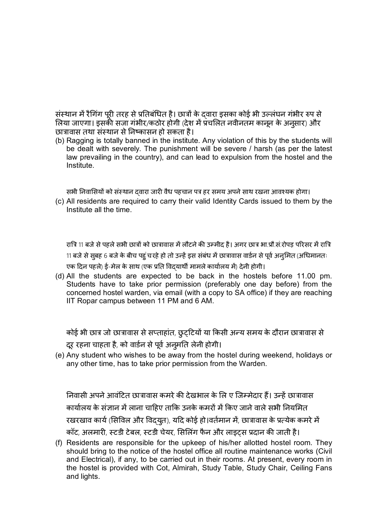संस्थान में रैगिंग पूरी तरह से प्रतिबंधित है। छात्रों के दवारा इसका कोई भी उल्लंघन गंभीर रुप से लिया जाएगा। इसकी सजा गंभीर/कठोर होगी (देश में प्रचलित नवीनतम कानून के अनुसार) और छात्रावास तथा संस्थान से निष्कासन हो सकता है।

(b) Ragging is totally banned in the institute. Any violation of this by the students will be dealt with severely. The punishment will be severe / harsh (as per the latest law prevailing in the country), and can lead to expulsion from the hostel and the Institute.

सभी निवासियों को संस्थान दवारा जारी वैध पहचान पत्र हर समय अपने साथ रखना आवश्यक होगा।

(c) All residents are required to carry their valid Identity Cards issued to them by the Institute all the time.

रात्रि 11 बजे से पहले सभी छात्रों को छात्रावास में लौटने की उम्मीद है। अगर छात्र भा.प्रौ.सं.रोपड़ परिसर में रात्रि 11 बजे से सुबह 6 बजे के बीच पहुं च रहे हो तो उन्हें इस संबंध में छात्रावास वार्डन से पूर्व अनुमित (अधिमानतः एक दिन पहले) ई-मेल के साथ (एक प्रति विदयार्थी मामले कार्यालय में) देनी होगी।

(d) All the students are expected to be back in the hostels before 11.00 pm. Students have to take prior permission (preferably one day before) from the concerned hostel warden, via email (with a copy to SA office) if they are reaching IIT Ropar campus between 11 PM and 6 AM.

कोई भी छात्र जो छात्रावास से सप्ताहांत, छुट्टियों या किसी अन्य समय के दौरान छात्रावास से दूर रहना चाहता है, को वार्डन से पूर्व अनुमति लेनी होगी।

(e) Any student who wishes to be away from the hostel during weekend, holidays or any other time, has to take prior permission from the Warden.

निवासी अपने आवंटित छात्रावास कमरे की देखभाल के लि ए जिम्मेदार हैं। उन्हें छात्रावास कार्यालय के संज्ञान में लाना चाहिए ताकि उनके कमरों में किए जाने वाले सभी नियमित रखरखाव कार्य (सिविल और विदयुत), यदि कोई हो।वर्तमान में, छात्रावास के प्रत्येक कमरे में कॉट, अलमारी, स्टडी टेबल, स्टडी चेयर, सिलिंग फैन और लाइटस प्रदान की जाती है।

(f) Residents are responsible for the upkeep of his/her allotted hostel room. They should bring to the notice of the hostel office all routine maintenance works (Civil and Electrical), if any, to be carried out in their rooms. At present, every room in the hostel is provided with Cot, Almirah, Study Table, Study Chair, Ceiling Fans and lights.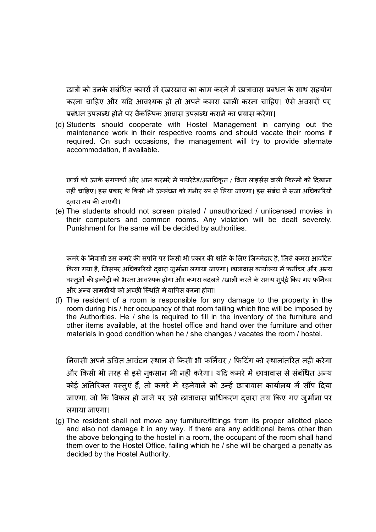छात्रों को उनके संबंधित कमरों में रखरखाव का काम करने में छात्रावास प्रबंधन के साथ सहयोग करना चाहिए और यदि आवश्यक हो तो अपने कमरा खाली करना चाहिए। ऐसे अवसरों पर, प्रबंधन उपलब्ध होने पर वैकल्पिक आवास उपलब्ध कराने का प्रयास करेगा।

(d) Students should cooperate with Hostel Management in carrying out the maintenance work in their respective rooms and should vacate their rooms if required. On such occasions, the management will try to provide alternate accommodation, if available.

छात्रों को उनके संगणकों और आम करमरे में पायरेटेड/अनधिकृत / बिना लाइसेंस वाली फिल्मों को दिखाना नहीं चाहिए। इस प्रकार के किसी भी उल्लंघन को गंभीर रुप से लिया जाएगा। इस संबंध में सजा अधिकारियों दवारा तय की जाएगी।

(e) The students should not screen pirated / unauthorized / unlicensed movies in their computers and common rooms. Any violation will be dealt severely. Punishment for the same will be decided by authorities.

कमरे के निवासी उस कमरे की संपति पर किसी भी प्रकार की क्षति के लिए जिम्मेदार है, जिसे कमरा आवंटित किया गया है, जिसपर अधिकारियों दवारा जुर्माना लगाया जाएगा। छात्रावास कार्यालय में फर्नीचर और अन्य वस्तुओं की इन्वेंट्री को भरना आवश्यक होगा और कमरा बदलने /खाली करने के समय सुर्पूर्द किए गए फर्निचर और अन्य सामग्रीयों को अच्छी स्थिति में वापिस करना होगा।

(f) The resident of a room is responsible for any damage to the property in the room during his / her occupancy of that room failing which fine will be imposed by the Authorities. He / she is required to fill in the inventory of the furniture and other items available, at the hostel office and hand over the furniture and other materials in good condition when he / she changes / vacates the room / hostel.

निवासी अपने उचित आवंटन स्थान से किसी भी फर्निचर / फिटिंग को स्थानांतरित नहीं करेगा और किसी भी तरह से इसे नुकसान भी नहीं करेगा। यदि कमरे में छात्रावास से संबंधित अन्य कोई अतिरिक्त वस्तुएं हैं, तो कमरे में रहनेवाले को उन्हें छात्रावास कार्यालय में सौंप दिया जाएगा, जो कि विफल हो जाने पर उसे छात्रावास प्राधिकरण दवारा तय किए गए जुर्माना पर लगाया जाएगा।

(g) The resident shall not move any furniture/fittings from its proper allotted place and also not damage it in any way. If there are any additional items other than the above belonging to the hostel in a room, the occupant of the room shall hand them over to the Hostel Office, failing which he / she will be charged a penalty as decided by the Hostel Authority.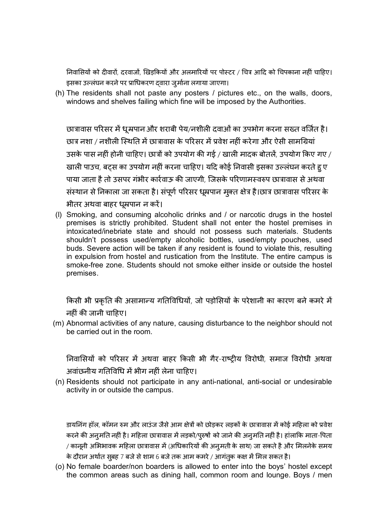निवासियों को दीवारों, दरवाजों, खिड़कियों और अलमारियों पर पोस्टर / चित्र आदि को चिपकाना नहीं चाहिए। इसका उल्लंघन करने पर प्राधिकरण दवारा जुर्माना लगाया जाएगा।

(h) The residents shall not paste any posters / pictures etc., on the walls, doors, windows and shelves failing which fine will be imposed by the Authorities.

छात्रावास परिसर में धूम्रपान और शराबी पेय/नशीली दवाओं का उपभोग करना सख्त वर्जित है। छात्र नशा / नशीली स्थिति में छात्रावास के परिसर में प्रवेश नहीं करेगा और ऐसी सामग्रियां उसके पास नहीं होनी चाहिए। छात्रों को उपयोग की गई / खाली मादक बोतलें, उपयोग किए गए / खाली पाउच, बटस का उपयोग नहीं करना चाहिए। यदि कोई निवासी इसका उल्लंघन करते हु ए पाया जाता है तो उसपर गंभीर कार्रवाऊ की जाएगी, जिसके परिणामस्वरुप छात्रावास से अथवा संस्थान से निकाला जा सकता है। संपूर्ण परिसर धूम्रपान मुक्त क्षेत्र है।छात्र छात्रावास परिसर के भीतर अथवा बाहर धूम्रपान न करें।

(l) Smoking, and consuming alcoholic drinks and / or narcotic drugs in the hostel premises is strictly prohibited. Student shall not enter the hostel premises in intoxicated/inebriate state and should not possess such materials. Students shouldn't possess used/empty alcoholic bottles, used/empty pouches, used buds. Severe action will be taken if any resident is found to violate this, resulting in expulsion from hostel and rustication from the Institute. The entire campus is smoke-free zone. Students should not smoke either inside or outside the hostel premises.

किसी भी प्रकृति की असामान्य गतिविधियों, जो पड़ोसियों के परेशानी का कारण बने कमरे में नहीं की जानी चाहिए।

(m) Abnormal activities of any nature, causing disturbance to the neighbor should not be carried out in the room.

निवासियों को परिसर में अथवा बाहर किसी भी गैर-राष्ट्रीय विरोधी, समाज विरोधी अथवा अवांछनीय गतिविधि में भीग नहीं लेना चाहिए।

(n) Residents should not participate in any anti-national, anti-social or undesirable activity in or outside the campus.

डायनिंग हॉल, कॉमन रुम और लाउंज जैसे आम क्षेत्रों को छोड़कर लड़कों के छात्रावास में कोई महिला को प्रवेश करने की अनुमति नहीं है। महिला छात्रावास में लड़को/पुरुषों को जाने की अनुमति नहीं है। हांलाकि माता-पिता / कानूनी अभिभावक महिला छात्रावास में (अधिकारियों की अनुमती के साथ) जा सकते है और मिलनेके समय के दौरान अर्थात सुबह 7 बजे से शाम 6 बजे तक आम कमरे / आगंतूक कक्ष में मिल सकत है।

(o) No female boarder/non boarders is allowed to enter into the boys' hostel except the common areas such as dining hall, common room and lounge. Boys / men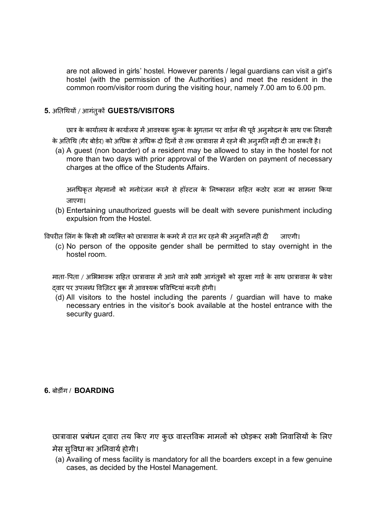are not allowed in girls' hostel. However parents / legal guardians can visit a girl's hostel (with the permission of the Authorities) and meet the resident in the common room/visitor room during the visiting hour, namely 7.00 am to 6.00 pm.

#### **5.** अǓतͬथयɉ / आगंतुकɉ **GUESTS/VISITORS**

छात्र के कार्यालय के कार्यालय में आवश्यक शुल्क के भुगतान पर वार्डन की पूर्व अनुमोदन के साथ एक निवासी के अतिथि (गैर बोर्डर) को अधिक से अधिक दो दिनों से तक छात्रावास में रहने की अनुमति नहीं दी जा सकती है।

(a) A guest (non boarder) of a resident may be allowed to stay in the hostel for not more than two days with prior approval of the Warden on payment of necessary charges at the office of the Students Affairs.

अनधिकृत मेहमानों को मनोरंजन करने से हॉस्टल के निष्कासन सहित कठोर सजा का सामना किया जाएगा।

(b) Entertaining unauthorized guests will be dealt with severe punishment including expulsion from the Hostel.

विपरीत लिंग के किसी भी व्यक्ति को छात्रावास के कमरे में रात भर रहने की अनुमति नहीं दी जाएगी।

(c) No person of the opposite gender shall be permitted to stay overnight in the hostel room.

माता-पिता / अभिभावक सहित छात्रावास में आने वाले सभी आगंतूकों को सुरक्षा गार्ड के साथ छात्रावास के प्रवेश दवार पर उपलब्ध विज़िटर बुक में आवश्यक प्रविष्टियां करनी होगी।

(d) All visitors to the hostel including the parents / guardian will have to make necessary entries in the visitor's book available at the hostel entrance with the security guard.

#### $6.$  बोर्डींग / **BOARDING**

छात्रावास प्रबंधन द्वारा तय किए गए कुछ वास्तविक मामलों को छोड़कर सभी निवासियों के लिए मेस सुविधा का अनिवार्य होगी।

(a) Availing of mess facility is mandatory for all the boarders except in a few genuine cases, as decided by the Hostel Management.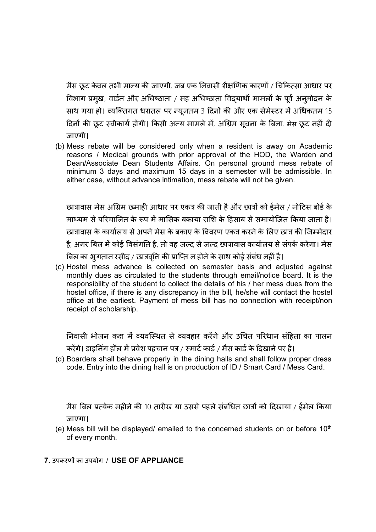मैस छूट केवल तभी मान्य की जाएगी, जब एक निवासी शैक्षणिक कारणों / चिकित्सा आधार पर विभाग प्रमुख, वार्डन और अधिष्ठाता / सह अधिष्ठाता विदयार्थी मामलों के पूर्व अनुमोदन के साथ गया हो। व्यक्तिगत धरातल पर न्यूनतम 3 दिनों की और एक सेमेस्टर में अधिकतम 15 दिनों की छूट स्वीकार्य होंगी। किसी अन्य मामले में, अग्रिम सूचना के बिना, मेस छूट नहीं दी जाएगी।

(b) Mess rebate will be considered only when a resident is away on Academic reasons / Medical grounds with prior approval of the HOD, the Warden and Dean/Associate Dean Students Affairs. On personal ground mess rebate of minimum 3 days and maximum 15 days in a semester will be admissible. In either case, without advance intimation, mess rebate will not be given.

छात्रावास मेस अग्रिम छमाही आधार पर एकत्र की जाती है और छात्रों को ईमेल / नोटिस बोर्ड के माध्यम से परिचालित के रूप में मासिक बकाया राशि के हिसाब से समायोजित किया जाता है। छात्रावास के कार्यालय से अपने मेस के बकाए के विवरण एकत्र करने के लिए छात्र की जिम्मेदार है, अगर बिल में कोई विसंगति है, तो वह जल्द से जल्द छात्रावास कार्यालय से संपर्क करेगा। मेस बिल का भूगतान रसीद / छात्रवृति की प्राप्ति न होने के साथ कोई संबंध नहीं है।

(c) Hostel mess advance is collected on semester basis and adjusted against monthly dues as circulated to the students through email/notice board. It is the responsibility of the student to collect the details of his / her mess dues from the hostel office, if there is any discrepancy in the bill, he/she will contact the hostel office at the earliest. Payment of mess bill has no connection with receipt/non receipt of scholarship.

निवासी भोजन कक्ष में व्यवस्थित से व्यवहार करेंगे और उचित परिधान संहिता का पालन करेंगे। डाइनिंग हॉल में प्रवेश पहचान पत्र / स्मार्ट कार्ड / मैस कार्ड के दिखाने पर है।

(d) Boarders shall behave properly in the dining halls and shall follow proper dress code. Entry into the dining hall is on production of ID / Smart Card / Mess Card.

मैस बिल प्रत्येक महीने की 10 तारीख या उससे पहले संबंधित छात्रों को दिखाया / ईमेल किया जाएगा।

- (e) Mess bill will be displayed/ emailed to the concerned students on or before  $10<sup>th</sup>$ of every month.
- **7.** उपकरणɉ का उपयोग / **USE OF APPLIANCE**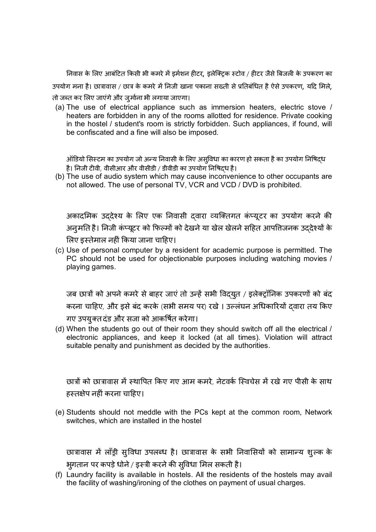निवास के लिए आबंटित किसी भी कमरे में इर्मशन हीटर, इलेक्टिक स्टोव / हीटर जैसे बिजली के उपकरण का उपयोग मना है। छात्रावास / छात्र के कमरे में निजी खाना पकाना सख्ती से प्रतिबंधित है ऐसे उपकरण, यदि मिले, तो जब्त कर लिए जाएंगे और जुर्माना भी लगाया जाएगा।

(a) The use of electrical appliance such as immersion heaters, electric stove / heaters are forbidden in any of the rooms allotted for residence. Private cooking in the hostel / student's room is strictly forbidden. Such appliances, if found, will be confiscated and a fine will also be imposed.

ऑडियो सिस्टम का उपयोग जो अन्य निवासी के लिए असुविधा का कारण हो सकता है का उपयोग निषिदध है। निजी टीवी, वीसीआर और वीसीडी / डीवीडी का उपयोग निषिदध है।

(b) The use of audio system which may cause inconvenience to other occupants are not allowed. The use of personal TV, VCR and VCD / DVD is prohibited.

अकादमिक उददेश्य के लिए एक निवासी दवारा व्यक्तिगत कंप्यूटर का उपयोग करने की अनुमति है। निजी कंप्यूटर को फिल्मों को देखने या खेल खेलने सहित आपत्तिजनक उददेश्यों के लिए इस्तेमाल नहीं किया जाना चाहिए।

(c) Use of personal computer by a resident for academic purpose is permitted. The PC should not be used for objectionable purposes including watching movies / playing games.

जब छात्रों को अपने कमरे से बाहर जाएं तो उन्हें सभी विदयुत / इलेक्ट्रॉनिक उपकरणों को बंद करना चाहिए, और इसे बंद करके (सभी समय पर) रखे । उल्लंघन अधिकारियों द्वारा तय किए गए उपयुक्त दंड और सजा को आकर्षित करेगा।

(d) When the students go out of their room they should switch off all the electrical / electronic appliances, and keep it locked (at all times). Violation will attract suitable penalty and punishment as decided by the authorities.

छात्रों को छात्रावास में स्थापित किए गए आम कमरे, नेटवर्क स्विचेस में रखे गए पीसी के साथ हस्तक्षेप नहीं करना चाहिए।

(e) Students should not meddle with the PCs kept at the common room, Network switches, which are installed in the hostel

छात्रावास में लाँड़ी सु विधा उपलब्ध है। छात्रावास के सभी निवासियों को सामान्य शुल्क के भुगतान पर कपड़े धोने / इस्त्री करने की सुविधा मिल सकती है।

(f) Laundry facility is available in hostels. All the residents of the hostels may avail the facility of washing/ironing of the clothes on payment of usual charges.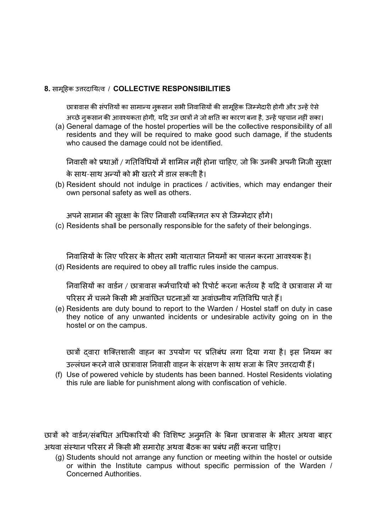#### **8.** सामूǑहक उƣरदाǓय×व / **COLLECTIVE RESPONSIBILITIES**

छात्रावास की संपत्तियों का सामान्य नुकसान सभी निवासियों की सामूहिक जिम्मेदारी होगी और उन्हें ऐसे

अच्छे नुकसान की आवश्यकता होगी, यदि उन छात्रों ने जो क्षति का कारण बना है, उन्हें पहचान नहीं सका। (a) General damage of the hostel properties will be the collective responsibility of all residents and they will be required to make good such damage, if the students who caused the damage could not be identified.

निवासी को प्रथाओं / गतिविधियों में शामिल नहीं होना चाहिए, जो कि उनकी अपनी निजी सुरक्षा के साथ-साथ अन्यों को भी खतरे में डाल सकती है।

(b) Resident should not indulge in practices / activities, which may endanger their own personal safety as well as others.

अपने सामान की सुरक्षा के लिए निवासी व्यक्तिगत रूप से जिम्मेदार होंगे।

(c) Residents shall be personally responsible for the safety of their belongings.

निवासियों के लिए परिसर के भीतर सभी यातायात नियमों का पालन करना आवश्यक है। (d) Residents are required to obey all traffic rules inside the campus.

निवासियों का वार्डन / छात्रावास कर्मचारियों को रिपोर्ट करना कर्तव्य है यदि वे छात्रावास में या परिसर में चलने किसी भी अवांछित घटनाओं या अवांछनीय गतिविधि पाते हैं।

(e) Residents are duty bound to report to the Warden / Hostel staff on duty in case they notice of any unwanted incidents or undesirable activity going on in the hostel or on the campus.

छात्रों दवारा शक्तिशाली वाहन का उपयोग पर प्रतिबंध लगा दिया गया है। इस नियम का उल्लंघन करने वाले छात्रावास निवासी वाहन के संरक्षण के साथ सजा के लिए उत्तरदायी हैं।

(f) Use of powered vehicle by students has been banned. Hostel Residents violating this rule are liable for punishment along with confiscation of vehicle.

छात्रों को वार्डन/संबधित अधिकारियों की विशिष्ट अनुमति के बिना छात्रावास के भीतर अथवा बाहर अथवा संस्थान परिसर में किसी भी समारोह अथवा बैठक का प्रबंध नहीं करना चाहिए।

(g) Students should not arrange any function or meeting within the hostel or outside or within the Institute campus without specific permission of the Warden / Concerned Authorities.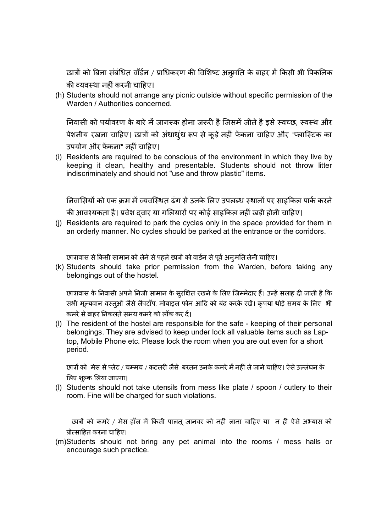छात्रों को बिना संबंधित वॉर्डन / प्राधिकरण की विशिष्ट अनुमति के बाहर में किसी भी पिकनिक की व्यवस्था नहीं करनी चाहिए।

(h) Students should not arrange any picnic outside without specific permission of the Warden / Authorities concerned.

निवासी को पर्यावरण के बारे में जागरूक होना जरूरी है जिसमें जीते है इसे स्वच्छ, स्वस्थ और पेशनीय रखना चाहिए। छात्रों को अंधाधुंध रूप से कूड़े नहीं फेंकना चाहिए और "प्लास्टिक का उपयोग और फेंकना" नहीं चाहिए।

(i) Residents are required to be conscious of the environment in which they live by keeping it clean, healthy and presentable. Students should not throw litter indiscriminately and should not "use and throw plastic" items.

निवासियों को एक क्रम में व्यवस्थित ढंग से उनके लिए उपलब्ध स्थानों पर साइकिल पार्क करने की आवश्यकता है। प्रवेश दवार या गलियारों पर कोई साइकिल नहीं खड़ी होनी चाहिए।

(j) Residents are required to park the cycles only in the space provided for them in an orderly manner. No cycles should be parked at the entrance or the corridors.

छात्रावास से किसी सामान को लेने से पहले छात्रों को वार्डन से पूर्व अनुमति लेनी चाहिए।

(k) Students should take prior permission from the Warden, before taking any belongings out of the hostel.

छात्रावास के निवासी अपने निजी सामान के सुरक्षित रखने के लिए जिम्मेदार हैं। उन्हें सलाह दी जाती है कि सभी मूल्यवान वस्तुओं जैसे लैपटॉप, मोबाइल फोन आदि को बंद करके रखें। कृपया थोड़े समय के लिए भी कमरे से बाहर निकलते समय कमरे को लॉक कर दें।

(l) The resident of the hostel are responsible for the safe - keeping of their personal belongings. They are advised to keep under lock all valuable items such as Laptop, Mobile Phone etc. Please lock the room when you are out even for a short period.

छात्रों को मेस से प्लेट / चम्मच / कटलरी जैसे बरतन उनके कमरे में नहीं ले जाने चाहिए। ऐसे उल्लंघन के लिए शुल्क लिया जाएगा।

(l) Students should not take utensils from mess like plate / spoon / cutlery to their room. Fine will be charged for such violations.

छात्रों को कमरे / मेस हॉल में किसी पालतू जानवर को नहीं लाना चाहिए या न हीं ऐसे अभ्यास को प्रोत्साहित करना चाहिए।

(m)Students should not bring any pet animal into the rooms / mess halls or encourage such practice.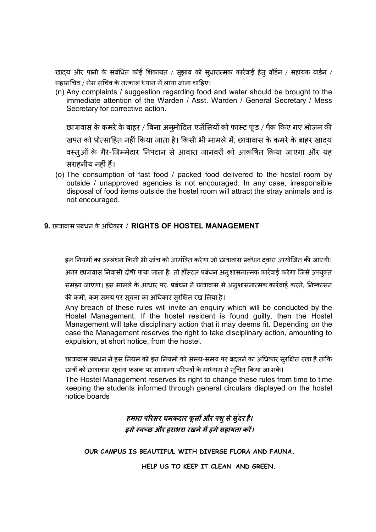खादय और पानी के संबंधित कोई शिकायत / सुझाव को सुधारात्मक कार्रवाई हेतु वॉर्डन / सहायक वार्डन / महासचिव / मेस सचिव के तत्काल ध्यान में लाया जाना चाहिए।

(n) Any complaints / suggestion regarding food and water should be brought to the immediate attention of the Warden / Asst. Warden / General Secretary / Mess Secretary for corrective action.

छात्रावास के कमरे के बाहर / बिना अनुमोदित एजेंसियों को फास्ट फूड / पैक किए गए भोजन की खपत को प्रोत्साहित नहीं किया जाता है। किसी भी मामले में, छात्रावास के कमरे के बाहर खादय वस्तुओं के गैर-जिम्मेदार निपटान से आवारा जानवरों को आकर्षित किया जाएगा और यह सराहनीय नहीं हैं।

(o) The consumption of fast food / packed food delivered to the hostel room by outside / unapproved agencies is not encouraged. In any case, irresponsible disposal of food items outside the hostel room will attract the stray animals and is not encouraged.

#### **9.** छाğावास Ĥबंधन के अͬधकार / **RIGHTS OF HOSTEL MANAGEMENT**

इन नियमों का उल्लंघन किसी भी जांच को आमंत्रित करेगा जो छात्रावास प्रबंधन दवारा आयोजित की जाएगी।

अगर छात्रावास निवासी दोषी पाया जाता है, तो हॉस्टल प्रबंधन अनुशासनात्मक कार्रवाई करेगा जिसे उपयुक्त

समझा जाएगा। इस मामले के आधार पर, प्रबंधन ने छात्रावास से अनुशासनात्मक कार्रवाई करने, निष्कासन

की कमी, कम समय पर सूचना का अधिकार सुरक्षित रख लिया है।

Any breach of these rules will invite an enquiry which will be conducted by the Hostel Management. If the hostel resident is found guilty, then the Hostel Management will take disciplinary action that it may deems fit. Depending on the case the Management reserves the right to take disciplinary action, amounting to expulsion, at short notice, from the hostel.

छात्रावास प्रबंधन ने इस नियम को इन नियमों को समय-समय पर बदलने का अधिकार सुरक्षित रखा है ताकि

छात्रों को छात्रावास सूचना फलक पर सामान्य परिपत्रों के माध्यम से सूचित किया जा सके।

The Hostel Management reserves its right to change these rules from time to time keeping the students informed through general circulars displayed on the hostel notice boards

### *हमारा पǐरसर चमकदार फू लɉ और पशु से सु ंदर है। इसे èवÍछ और हराभरा रखने मɅ हमɅ सहायता करɅ।*

**OUR CAMPUS IS BEAUTIFUL WITH DIVERSE FLORA AND FAUNA.**

**HELP US TO KEEP IT CLEAN AND GREEN.**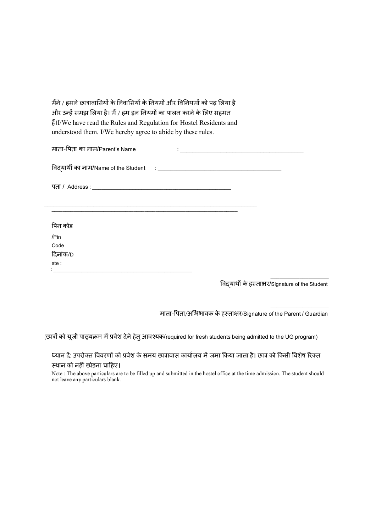मैंने / हमने छात्रावासियों के निवासियों के नियमों और विनियमों को पढ़ लिया है और उन्हें समझ लिया है। मैं / हम इन नियमों का पालन करने के लिए सहमत हɇ।I/We have read the Rules and Regulation for Hostel Residents and understood them. I/We hereby agree to abide by these rules.

| माता-पिता का नाम/Parent's Name<br><u> 1980 - Jan Samuel Barbara, margaret e populari e populari e populari e populari e populari e populari e popu</u> |  |
|--------------------------------------------------------------------------------------------------------------------------------------------------------|--|
|                                                                                                                                                        |  |
|                                                                                                                                                        |  |
|                                                                                                                                                        |  |
| पिन कोड                                                                                                                                                |  |
| /Pin                                                                                                                                                   |  |
| Code                                                                                                                                                   |  |
| दिनांक/D                                                                                                                                               |  |
| ate:                                                                                                                                                   |  |

ͪवɮयाथȸ के हèता¢र/Signature of the Student

 $\_$ 

 $\_$ 

माता-पिता/अभिभावक के हस्ताक्षर/Signature of the Parent / Guardian

(छात्रों को यूजी पाठ्यक्रम में प्रवेश देने हेतु आवश्यक/required for fresh students being admitted to the UG program)

ध्यान दें: उपरोक्त विवरणों को प्रवेश के समय छात्रावास कार्यालय में जमा किया जाता है। छात्र को किसी विशेष रिक्त स्थान को नहीं छोड़ना चाहिए।

Note : The above particulars are to be filled up and submitted in the hostel office at the time admission. The student should not leave any particulars blank.